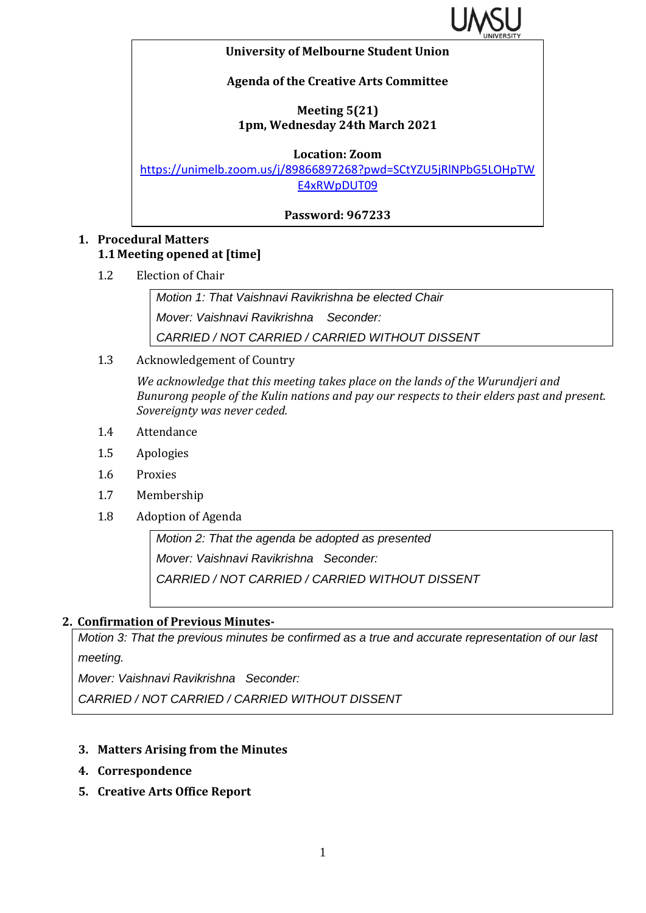

#### **University of Melbourne Student Union**

### **Agenda of the Creative Arts Committee**

### **Meeting 5(21) 1pm, Wednesday 24th March 2021**

**Location: Zoom**

[https://unimelb.zoom.us/j/89866897268?pwd=SCtYZU5jRlNPbG5LOHpTW](https://unimelb.zoom.us/j/89866897268?pwd=SCtYZU5jRlNPbG5LOHpTWE4xRWpDUT09) [E4xRWpDUT09](https://unimelb.zoom.us/j/89866897268?pwd=SCtYZU5jRlNPbG5LOHpTWE4xRWpDUT09)

**Password: 967233**

### **1. Procedural Matters 1.1 Meeting opened at [time]**

1.2 Election of Chair

*Motion 1: That Vaishnavi Ravikrishna be elected Chair Mover: Vaishnavi Ravikrishna Seconder: CARRIED / NOT CARRIED / CARRIED WITHOUT DISSENT*

1.3 Acknowledgement of Country

*We acknowledge that this meeting takes place on the lands of the Wurundjeri and Bunurong people of the Kulin nations and pay our respects to their elders past and present. Sovereignty was never ceded.* 

- 1.4 Attendance
- 1.5 Apologies
- 1.6 Proxies
- 1.7 Membership
- 1.8 Adoption of Agenda

*Motion 2: That the agenda be adopted as presented Mover: Vaishnavi Ravikrishna Seconder: CARRIED / NOT CARRIED / CARRIED WITHOUT DISSENT*

### **2. Confirmation of Previous Minutes-**

*Motion 3: That the previous minutes be confirmed as a true and accurate representation of our last meeting.*

*Mover: Vaishnavi Ravikrishna Seconder:* 

*CARRIED / NOT CARRIED / CARRIED WITHOUT DISSENT*

### **3. Matters Arising from the Minutes**

- **4. Correspondence**
- **5. Creative Arts Office Report**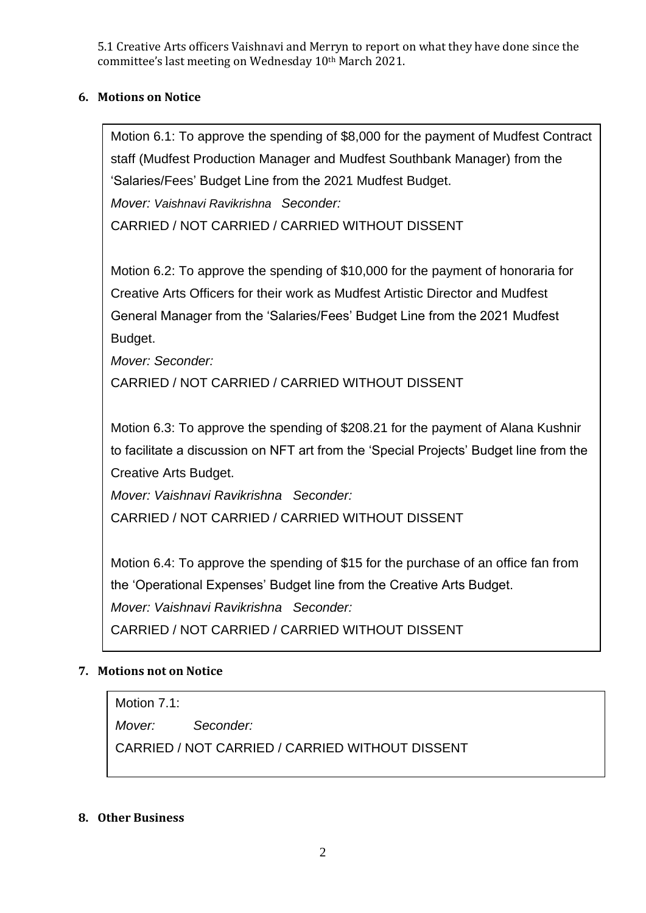5.1 Creative Arts officers Vaishnavi and Merryn to report on what they have done since the committee's last meeting on Wednesday 10th March 2021.

### **6. Motions on Notice**

Motion 6.1: To approve the spending of \$8,000 for the payment of Mudfest Contract staff (Mudfest Production Manager and Mudfest Southbank Manager) from the 'Salaries/Fees' Budget Line from the 2021 Mudfest Budget.

*Mover: Vaishnavi Ravikrishna Seconder:*

CARRIED / NOT CARRIED / CARRIED WITHOUT DISSENT

Motion 6.2: To approve the spending of \$10,000 for the payment of honoraria for Creative Arts Officers for their work as Mudfest Artistic Director and Mudfest General Manager from the 'Salaries/Fees' Budget Line from the 2021 Mudfest Budget.

*Mover: Seconder:*

CARRIED / NOT CARRIED / CARRIED WITHOUT DISSENT

Motion 6.3: To approve the spending of \$208.21 for the payment of Alana Kushnir to facilitate a discussion on NFT art from the 'Special Projects' Budget line from the Creative Arts Budget.

*Mover: Vaishnavi Ravikrishna Seconder:*

CARRIED / NOT CARRIED / CARRIED WITHOUT DISSENT

Motion 6.4: To approve the spending of \$15 for the purchase of an office fan from the 'Operational Expenses' Budget line from the Creative Arts Budget. *Mover: Vaishnavi Ravikrishna Seconder:*

CARRIED / NOT CARRIED / CARRIED WITHOUT DISSENT

### **7. Motions not on Notice**

Motion 7.1:

*Mover: Seconder:*

CARRIED / NOT CARRIED / CARRIED WITHOUT DISSENT

### **8. Other Business**